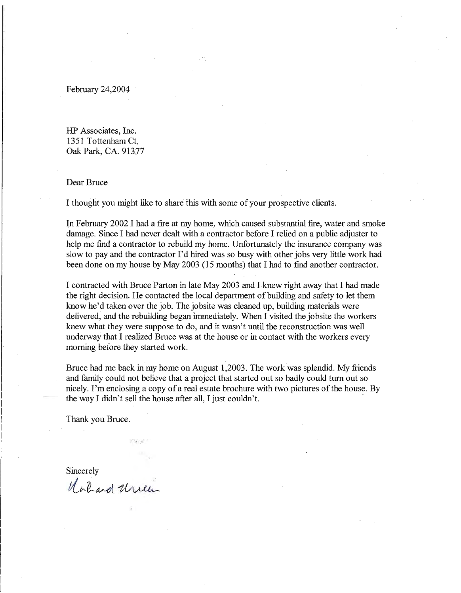February 24;2004:

HP Associates, Inc. 1351 Tottenham Ct, Oak Park, CA. 91377

Dear Bruce

I thought you might like to share this with some of your prospective clients.

In February 2002 I had a fire at my home, which caused substantial fire, water and smoke . damage. Since I had never dealt with a contractor before I relied on a public adjuster to help me find a contractor to rebuild my home. Unfortunately the insurance company was slow to pay and the contractor I'd hired was so busy with other jobs very little work had been done on my house by May 2003 (15 months) that I had to find another contractor.

I contracted with Bruce Parton in late May 2003 and I knew right away that I had made the right decision. He contacted the local department of building and safety to let them know he'd taken over the job. The jobsite was cleaned up, building materials were delivered, and the rebuilding began immediately. When I visited the jobsite the workers knew what they were suppose to do, and it wasn't until the reconstruction was well underway that I realized Bruce was at the house or in contact with the workers every morning before they started work.

Bruce had me back in my home on August 1,2003. The work was splendid. My friends and family could not believe that a project that started out so badly could turn out so nicely. I'm enclosing a copy of a real estate brochure with two pictures of the house. By the way I didn't sell the house after all, I just couldn't.

Thank you Bruce.

Sincerely

1 Corl-and U